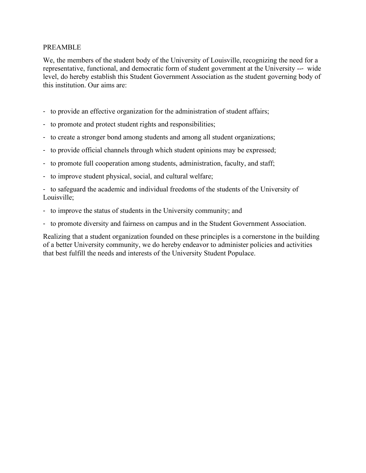#### PREAMBLE

We, the members of the student body of the University of Louisville, recognizing the need for a representative, functional, and democratic form of student government at the University --- wide level, do hereby establish this Student Government Association as the student governing body of this institution. Our aims are:

- to provide an effective organization for the administration of student affairs;
- to promote and protect student rights and responsibilities;
- to create a stronger bond among students and among all student organizations;
- to provide official channels through which student opinions may be expressed;
- to promote full cooperation among students, administration, faculty, and staff;
- to improve student physical, social, and cultural welfare;

- to safeguard the academic and individual freedoms of the students of the University of Louisville;

- to improve the status of students in the University community; and
- to promote diversity and fairness on campus and in the Student Government Association.

Realizing that a student organization founded on these principles is a cornerstone in the building of a better University community, we do hereby endeavor to administer policies and activities that best fulfill the needs and interests of the University Student Populace.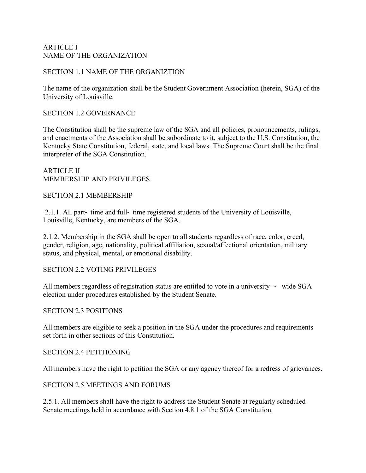## ARTICLE I NAME OF THE ORGANIZATION

#### SECTION 1.1 NAME OF THE ORGANIZTION

The name of the organization shall be the Student Government Association (herein, SGA) of the University of Louisville.

#### SECTION 1.2 GOVERNANCE

The Constitution shall be the supreme law of the SGA and all policies, pronouncements, rulings, and enactments of the Association shall be subordinate to it, subject to the U.S. Constitution, the Kentucky State Constitution, federal, state, and local laws. The Supreme Court shall be the final interpreter of the SGA Constitution.

#### ARTICLE II MEMBERSHIP AND PRIVILEGES

#### SECTION 2.1 MEMBERSHIP

2.1.1. All part- time and full- time registered students of the University of Louisville, Louisville, Kentucky, are members of the SGA.

2.1.2. Membership in the SGA shall be open to all students regardless of race, color, creed, gender, religion, age, nationality, political affiliation, sexual/affectional orientation, military status, and physical, mental, or emotional disability.

#### SECTION 2.2 VOTING PRIVILEGES

All members regardless of registration status are entitled to vote in a university--- wide SGA election under procedures established by the Student Senate.

#### SECTION 2.3 POSITIONS

All members are eligible to seek a position in the SGA under the procedures and requirements set forth in other sections of this Constitution.

#### SECTION 2.4 PETITIONING

All members have the right to petition the SGA or any agency thereof for a redress of grievances.

#### SECTION 2.5 MEETINGS AND FORUMS

2.5.1. All members shall have the right to address the Student Senate at regularly scheduled Senate meetings held in accordance with Section 4.8.1 of the SGA Constitution.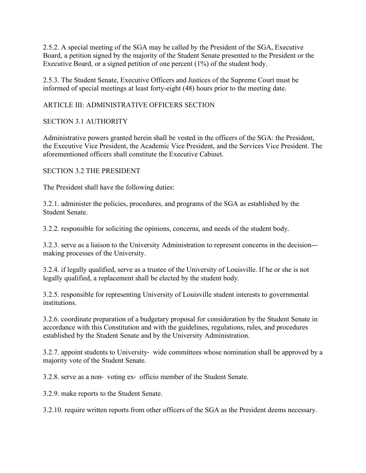2.5.2. A special meeting of the SGA may be called by the President of the SGA, Executive Board, a petition signed by the majority of the Student Senate presented to the President or the Executive Board, or a signed petition of one percent (1%) of the student body.

2.5.3. The Student Senate, Executive Officers and Justices of the Supreme Court must be informed of special meetings at least forty-eight (48) hours prior to the meeting date.

# ARTICLE III: ADMINISTRATIVE OFFICERS SECTION

## SECTION 3.1 AUTHORITY

Administrative powers granted herein shall be vested in the officers of the SGA: the President, the Executive Vice President, the Academic Vice President, and the Services Vice President. The aforementioned officers shall constitute the Executive Cabinet.

## SECTION 3.2 THE PRESIDENT

The President shall have the following duties:

3.2.1. administer the policies, procedures, and programs of the SGA as established by the Student Senate.

3.2.2. responsible for soliciting the opinions, concerns, and needs of the student body.

3.2.3. serve as a liaison to the University Administration to represent concerns in the decision-- making processes of the University.

3.2.4. if legally qualified, serve as a trustee of the University of Louisville. If he or she is not legally qualified, a replacement shall be elected by the student body.

3.2.5. responsible for representing University of Louisville student interests to governmental institutions.

3.2.6. coordinate preparation of a budgetary proposal for consideration by the Student Senate in accordance with this Constitution and with the guidelines, regulations, rules, and procedures established by the Student Senate and by the University Administration.

3.2.7. appoint students to University- wide committees whose nomination shall be approved by a majority vote of the Student Senate.

3.2.8. serve as a non- voting ex- officio member of the Student Senate.

3.2.9. make reports to the Student Senate.

3.2.10. require written reports from other officers of the SGA as the President deems necessary.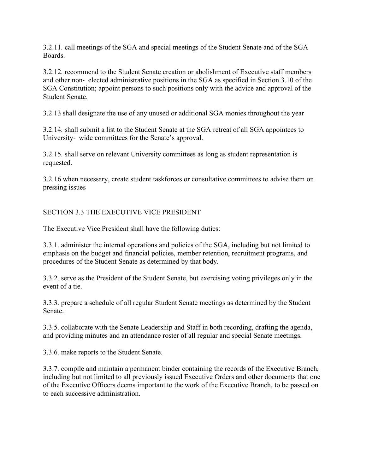3.2.11. call meetings of the SGA and special meetings of the Student Senate and of the SGA **Boards** 

3.2.12. recommend to the Student Senate creation or abolishment of Executive staff members and other non- elected administrative positions in the SGA as specified in Section 3.10 of the SGA Constitution; appoint persons to such positions only with the advice and approval of the Student Senate.

3.2.13 shall designate the use of any unused or additional SGA monies throughout the year

3.2.14. shall submit a list to the Student Senate at the SGA retreat of all SGA appointees to University- wide committees for the Senate's approval.

3.2.15. shall serve on relevant University committees as long as student representation is requested.

3.2.16 when necessary, create student taskforces or consultative committees to advise them on pressing issues

# SECTION 3.3 THE EXECUTIVE VICE PRESIDENT

The Executive Vice President shall have the following duties:

3.3.1. administer the internal operations and policies of the SGA, including but not limited to emphasis on the budget and financial policies, member retention, recruitment programs, and procedures of the Student Senate as determined by that body.

3.3.2. serve as the President of the Student Senate, but exercising voting privileges only in the event of a tie.

3.3.3. prepare a schedule of all regular Student Senate meetings as determined by the Student Senate.

3.3.5. collaborate with the Senate Leadership and Staff in both recording, drafting the agenda, and providing minutes and an attendance roster of all regular and special Senate meetings.

3.3.6. make reports to the Student Senate.

3.3.7. compile and maintain a permanent binder containing the records of the Executive Branch, including but not limited to all previously issued Executive Orders and other documents that one of the Executive Officers deems important to the work of the Executive Branch, to be passed on to each successive administration.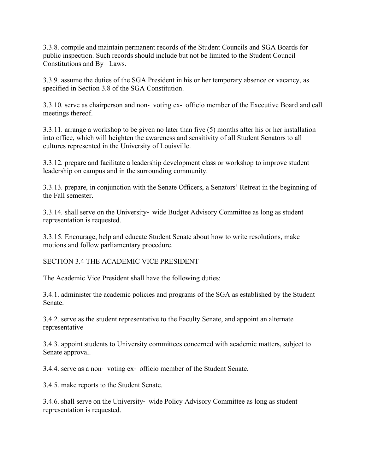3.3.8. compile and maintain permanent records of the Student Councils and SGA Boards for public inspection. Such records should include but not be limited to the Student Council Constitutions and By- Laws.

3.3.9. assume the duties of the SGA President in his or her temporary absence or vacancy, as specified in Section 3.8 of the SGA Constitution.

3.3.10. serve as chairperson and non- voting ex- officio member of the Executive Board and call meetings thereof.

3.3.11. arrange a workshop to be given no later than five (5) months after his or her installation into office, which will heighten the awareness and sensitivity of all Student Senators to all cultures represented in the University of Louisville.

3.3.12. prepare and facilitate a leadership development class or workshop to improve student leadership on campus and in the surrounding community.

3.3.13. prepare, in conjunction with the Senate Officers, a Senators' Retreat in the beginning of the Fall semester.

3.3.14. shall serve on the University- wide Budget Advisory Committee as long as student representation is requested.

3.3.15. Encourage, help and educate Student Senate about how to write resolutions, make motions and follow parliamentary procedure.

SECTION 3.4 THE ACADEMIC VICE PRESIDENT

The Academic Vice President shall have the following duties:

3.4.1. administer the academic policies and programs of the SGA as established by the Student Senate.

3.4.2. serve as the student representative to the Faculty Senate, and appoint an alternate representative

3.4.3. appoint students to University committees concerned with academic matters, subject to Senate approval.

3.4.4. serve as a non- voting ex- officio member of the Student Senate.

3.4.5. make reports to the Student Senate.

3.4.6. shall serve on the University- wide Policy Advisory Committee as long as student representation is requested.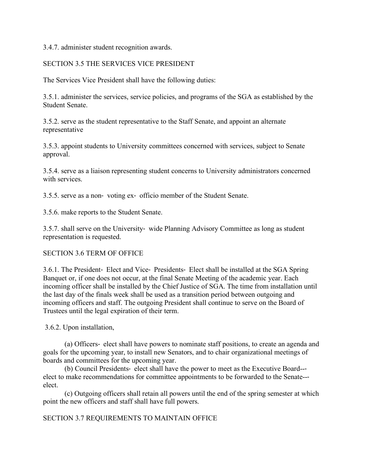3.4.7. administer student recognition awards.

## SECTION 3.5 THE SERVICES VICE PRESIDENT

The Services Vice President shall have the following duties:

3.5.1. administer the services, service policies, and programs of the SGA as established by the Student Senate.

3.5.2. serve as the student representative to the Staff Senate, and appoint an alternate representative

3.5.3. appoint students to University committees concerned with services, subject to Senate approval.

3.5.4. serve as a liaison representing student concerns to University administrators concerned with services.

3.5.5. serve as a non- voting ex- officio member of the Student Senate.

3.5.6. make reports to the Student Senate.

3.5.7. shall serve on the University- wide Planning Advisory Committee as long as student representation is requested.

## SECTION 3.6 TERM OF OFFICE

3.6.1. The President- Elect and Vice- Presidents- Elect shall be installed at the SGA Spring Banquet or, if one does not occur, at the final Senate Meeting of the academic year. Each incoming officer shall be installed by the Chief Justice of SGA. The time from installation until the last day of the finals week shall be used as a transition period between outgoing and incoming officers and staff. The outgoing President shall continue to serve on the Board of Trustees until the legal expiration of their term.

3.6.2. Upon installation,

(a) Officers- elect shall have powers to nominate staff positions, to create an agenda and goals for the upcoming year, to install new Senators, and to chair organizational meetings of boards and committees for the upcoming year.

(b) Council Presidents- elect shall have the power to meet as the Executive Board-- elect to make recommendations for committee appointments to be forwarded to the Senate-- elect.

(c) Outgoing officers shall retain all powers until the end of the spring semester at which point the new officers and staff shall have full powers.

SECTION 3.7 REQUIREMENTS TO MAINTAIN OFFICE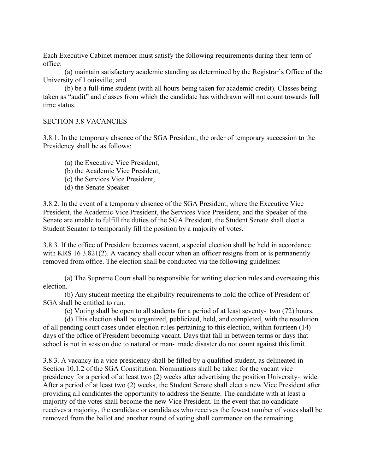Each Executive Cabinet member must satisfy the following requirements during their term of office:

(a) maintain satisfactory academic standing as determined by the Registrar's Office of the University of Louisville; and

(b) be a full-time student (with all hours being taken for academic credit). Classes being taken as "audit" and classes from which the candidate has withdrawn will not count towards full time status.

#### SECTION 3.8 VACANCIES

3.8.1. In the temporary absence of the SGA President, the order of temporary succession to the Presidency shall be as follows:

- (a) the Executive Vice President,
- (b) the Academic Vice President,
- (c) the Services Vice President,
- (d) the Senate Speaker

3.8.2. In the event of a temporary absence of the SGA President, where the Executive Vice President, the Academic Vice President, the Services Vice President, and the Speaker of the Senate are unable to fulfill the duties of the SGA President, the Student Senate shall elect a Student Senator to temporarily fill the position by a majority of votes.

3.8.3. If the office of President becomes vacant, a special election shall be held in accordance with KRS 16 3.821(2). A vacancy shall occur when an officer resigns from or is permanently removed from office. The election shall be conducted via the following guidelines:

(a) The Supreme Court shall be responsible for writing election rules and overseeing this election.

(b) Any student meeting the eligibility requirements to hold the office of President of SGA shall be entitled to run.

(c) Voting shall be open to all students for a period of at least seventy- two (72) hours.

(d) This election shall be organized, publicized, held, and completed, with the resolution of all pending court cases under election rules pertaining to this election, within fourteen (14) days of the office of President becoming vacant. Days that fall in between terms or days that school is not in session due to natural or man- made disaster do not count against this limit.

3.8.3. A vacancy in a vice presidency shall be filled by a qualified student, as delineated in Section 10.1.2 of the SGA Constitution. Nominations shall be taken for the vacant vice presidency for a period of at least two (2) weeks after advertising the position University- wide. After a period of at least two (2) weeks, the Student Senate shall elect a new Vice President after providing all candidates the opportunity to address the Senate. The candidate with at least a majority of the votes shall become the new Vice President. In the event that no candidate receives a majority, the candidate or candidates who receives the fewest number of votes shall be removed from the ballot and another round of voting shall commence on the remaining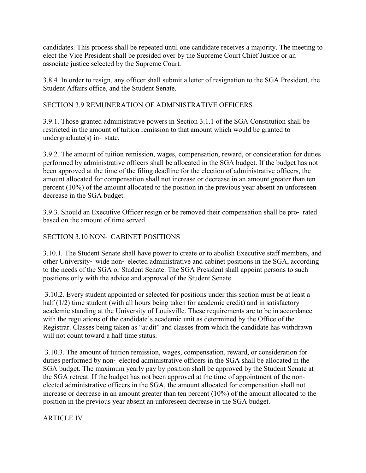candidates. This process shall be repeated until one candidate receives a majority. The meeting to elect the Vice President shall be presided over by the Supreme Court Chief Justice or an associate justice selected by the Supreme Court.

3.8.4. In order to resign, any officer shall submit a letter of resignation to the SGA President, the Student Affairs office, and the Student Senate.

# SECTION 3.9 REMUNERATION OF ADMINISTRATIVE OFFICERS

3.9.1. Those granted administrative powers in Section 3.1.1 of the SGA Constitution shall be restricted in the amount of tuition remission to that amount which would be granted to undergraduate(s) in- state.

3.9.2. The amount of tuition remission, wages, compensation, reward, or consideration for duties performed by administrative officers shall be allocated in the SGA budget. If the budget has not been approved at the time of the filing deadline for the election of administrative officers, the amount allocated for compensation shall not increase or decrease in an amount greater than ten percent (10%) of the amount allocated to the position in the previous year absent an unforeseen decrease in the SGA budget.

3.9.3. Should an Executive Officer resign or be removed their compensation shall be pro- rated based on the amount of time served.

# SECTION 3.10 NON- CABINET POSITIONS

3.10.1. The Student Senate shall have power to create or to abolish Executive staff members, and other University- wide non- elected administrative and cabinet positions in the SGA, according to the needs of the SGA or Student Senate. The SGA President shall appoint persons to such positions only with the advice and approval of the Student Senate.

3.10.2. Every student appointed or selected for positions under this section must be at least a half (1/2) time student (with all hours being taken for academic credit) and in satisfactory academic standing at the University of Louisville. These requirements are to be in accordance with the regulations of the candidate's academic unit as determined by the Office of the Registrar. Classes being taken as "audit" and classes from which the candidate has withdrawn will not count toward a half time status.

3.10.3. The amount of tuition remission, wages, compensation, reward, or consideration for duties performed by non- elected administrative officers in the SGA shall be allocated in the SGA budget. The maximum yearly pay by position shall be approved by the Student Senate at the SGA retreat. If the budget has not been approved at the time of appointment of the nonelected administrative officers in the SGA, the amount allocated for compensation shall not increase or decrease in an amount greater than ten percent (10%) of the amount allocated to the position in the previous year absent an unforeseen decrease in the SGA budget.

ARTICLE IV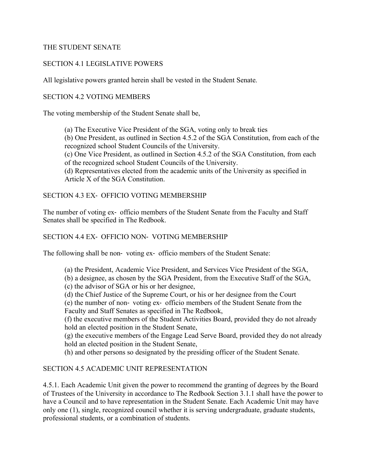#### THE STUDENT SENATE

## SECTION 4.1 LEGISLATIVE POWERS

All legislative powers granted herein shall be vested in the Student Senate.

#### SECTION 4.2 VOTING MEMBERS

The voting membership of the Student Senate shall be,

(a) The Executive Vice President of the SGA, voting only to break ties

(b) One President, as outlined in Section 4.5.2 of the SGA Constitution, from each of the recognized school Student Councils of the University.

(c) One Vice President, as outlined in Section 4.5.2 of the SGA Constitution, from each of the recognized school Student Councils of the University.

(d) Representatives elected from the academic units of the University as specified in Article X of the SGA Constitution.

#### SECTION 4.3 EX- OFFICIO VOTING MEMBERSHIP

The number of voting ex- officio members of the Student Senate from the Faculty and Staff Senates shall be specified in The Redbook.

#### SECTION 4.4 EX- OFFICIO NON- VOTING MEMBERSHIP

The following shall be non- voting ex- officio members of the Student Senate:

- (a) the President, Academic Vice President, and Services Vice President of the SGA,
- (b) a designee, as chosen by the SGA President, from the Executive Staff of the SGA,
- (c) the advisor of SGA or his or her designee,
- (d) the Chief Justice of the Supreme Court, or his or her designee from the Court

(e) the number of non- voting ex- officio members of the Student Senate from the Faculty and Staff Senates as specified in The Redbook,

(f) the executive members of the Student Activities Board, provided they do not already hold an elected position in the Student Senate,

(g) the executive members of the Engage Lead Serve Board, provided they do not already hold an elected position in the Student Senate,

(h) and other persons so designated by the presiding officer of the Student Senate.

## SECTION 4.5 ACADEMIC UNIT REPRESENTATION

4.5.1. Each Academic Unit given the power to recommend the granting of degrees by the Board of Trustees of the University in accordance to The Redbook Section 3.1.1 shall have the power to have a Council and to have representation in the Student Senate. Each Academic Unit may have only one (1), single, recognized council whether it is serving undergraduate, graduate students, professional students, or a combination of students.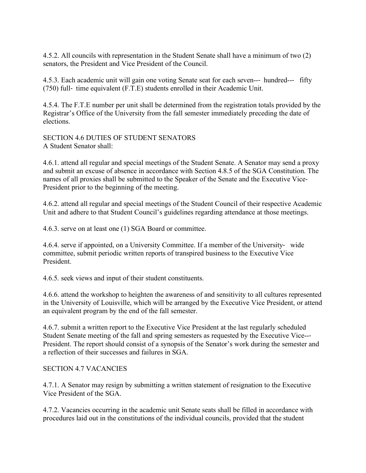4.5.2. All councils with representation in the Student Senate shall have a minimum of two (2) senators, the President and Vice President of the Council.

4.5.3. Each academic unit will gain one voting Senate seat for each seven--- hundred--- fifty (750) full- time equivalent (F.T.E) students enrolled in their Academic Unit.

4.5.4. The F.T.E number per unit shall be determined from the registration totals provided by the Registrar's Office of the University from the fall semester immediately preceding the date of elections.

SECTION 4.6 DUTIES OF STUDENT SENATORS A Student Senator shall:

4.6.1. attend all regular and special meetings of the Student Senate. A Senator may send a proxy and submit an excuse of absence in accordance with Section 4.8.5 of the SGA Constitution. The names of all proxies shall be submitted to the Speaker of the Senate and the Executive Vice-President prior to the beginning of the meeting.

4.6.2. attend all regular and special meetings of the Student Council of their respective Academic Unit and adhere to that Student Council's guidelines regarding attendance at those meetings.

4.6.3. serve on at least one (1) SGA Board or committee.

4.6.4. serve if appointed, on a University Committee. If a member of the University- wide committee, submit periodic written reports of transpired business to the Executive Vice President.

4.6.5. seek views and input of their student constituents.

4.6.6. attend the workshop to heighten the awareness of and sensitivity to all cultures represented in the University of Louisville, which will be arranged by the Executive Vice President, or attend an equivalent program by the end of the fall semester.

4.6.7. submit a written report to the Executive Vice President at the last regularly scheduled Student Senate meeting of the fall and spring semesters as requested by the Executive Vice--- President. The report should consist of a synopsis of the Senator's work during the semester and a reflection of their successes and failures in SGA.

SECTION 4.7 VACANCIES

4.7.1. A Senator may resign by submitting a written statement of resignation to the Executive Vice President of the SGA.

4.7.2. Vacancies occurring in the academic unit Senate seats shall be filled in accordance with procedures laid out in the constitutions of the individual councils, provided that the student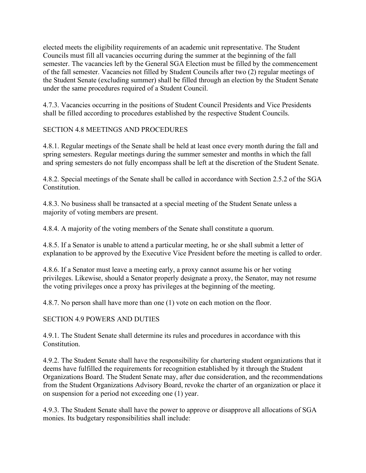elected meets the eligibility requirements of an academic unit representative. The Student Councils must fill all vacancies occurring during the summer at the beginning of the fall semester. The vacancies left by the General SGA Election must be filled by the commencement of the fall semester. Vacancies not filled by Student Councils after two (2) regular meetings of the Student Senate (excluding summer) shall be filled through an election by the Student Senate under the same procedures required of a Student Council.

4.7.3. Vacancies occurring in the positions of Student Council Presidents and Vice Presidents shall be filled according to procedures established by the respective Student Councils.

# SECTION 4.8 MEETINGS AND PROCEDURES

4.8.1. Regular meetings of the Senate shall be held at least once every month during the fall and spring semesters. Regular meetings during the summer semester and months in which the fall and spring semesters do not fully encompass shall be left at the discretion of the Student Senate.

4.8.2. Special meetings of the Senate shall be called in accordance with Section 2.5.2 of the SGA Constitution.

4.8.3. No business shall be transacted at a special meeting of the Student Senate unless a majority of voting members are present.

4.8.4. A majority of the voting members of the Senate shall constitute a quorum.

4.8.5. If a Senator is unable to attend a particular meeting, he or she shall submit a letter of explanation to be approved by the Executive Vice President before the meeting is called to order.

4.8.6. If a Senator must leave a meeting early, a proxy cannot assume his or her voting privileges. Likewise, should a Senator properly designate a proxy, the Senator, may not resume the voting privileges once a proxy has privileges at the beginning of the meeting.

4.8.7. No person shall have more than one (1) vote on each motion on the floor.

# SECTION 4.9 POWERS AND DUTIES

4.9.1. The Student Senate shall determine its rules and procedures in accordance with this **Constitution** 

4.9.2. The Student Senate shall have the responsibility for chartering student organizations that it deems have fulfilled the requirements for recognition established by it through the Student Organizations Board. The Student Senate may, after due consideration, and the recommendations from the Student Organizations Advisory Board, revoke the charter of an organization or place it on suspension for a period not exceeding one (1) year.

4.9.3. The Student Senate shall have the power to approve or disapprove all allocations of SGA monies. Its budgetary responsibilities shall include: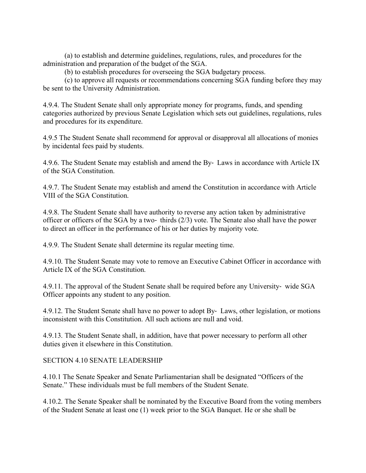(a) to establish and determine guidelines, regulations, rules, and procedures for the administration and preparation of the budget of the SGA.

(b) to establish procedures for overseeing the SGA budgetary process.

(c) to approve all requests or recommendations concerning SGA funding before they may be sent to the University Administration.

4.9.4. The Student Senate shall only appropriate money for programs, funds, and spending categories authorized by previous Senate Legislation which sets out guidelines, regulations, rules and procedures for its expenditure.

4.9.5 The Student Senate shall recommend for approval or disapproval all allocations of monies by incidental fees paid by students.

4.9.6. The Student Senate may establish and amend the By- Laws in accordance with Article IX of the SGA Constitution.

4.9.7. The Student Senate may establish and amend the Constitution in accordance with Article VIII of the SGA Constitution.

4.9.8. The Student Senate shall have authority to reverse any action taken by administrative officer or officers of the SGA by a two- thirds (2/3) vote. The Senate also shall have the power to direct an officer in the performance of his or her duties by majority vote.

4.9.9. The Student Senate shall determine its regular meeting time.

4.9.10. The Student Senate may vote to remove an Executive Cabinet Officer in accordance with Article IX of the SGA Constitution.

4.9.11. The approval of the Student Senate shall be required before any University- wide SGA Officer appoints any student to any position.

4.9.12. The Student Senate shall have no power to adopt By- Laws, other legislation, or motions inconsistent with this Constitution. All such actions are null and void.

4.9.13. The Student Senate shall, in addition, have that power necessary to perform all other duties given it elsewhere in this Constitution.

SECTION 4.10 SENATE LEADERSHIP

4.10.1 The Senate Speaker and Senate Parliamentarian shall be designated "Officers of the Senate." These individuals must be full members of the Student Senate.

4.10.2. The Senate Speaker shall be nominated by the Executive Board from the voting members of the Student Senate at least one (1) week prior to the SGA Banquet. He or she shall be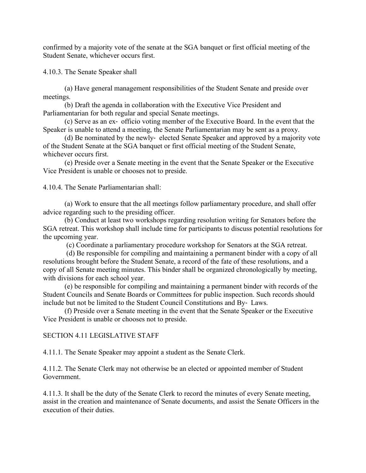confirmed by a majority vote of the senate at the SGA banquet or first official meeting of the Student Senate, whichever occurs first.

4.10.3. The Senate Speaker shall

(a) Have general management responsibilities of the Student Senate and preside over meetings.

(b) Draft the agenda in collaboration with the Executive Vice President and Parliamentarian for both regular and special Senate meetings.

(c) Serve as an ex- officio voting member of the Executive Board. In the event that the Speaker is unable to attend a meeting, the Senate Parliamentarian may be sent as a proxy.

(d) Be nominated by the newly- elected Senate Speaker and approved by a majority vote of the Student Senate at the SGA banquet or first official meeting of the Student Senate, whichever occurs first.

(e) Preside over a Senate meeting in the event that the Senate Speaker or the Executive Vice President is unable or chooses not to preside.

4.10.4. The Senate Parliamentarian shall:

(a) Work to ensure that the all meetings follow parliamentary procedure, and shall offer advice regarding such to the presiding officer.

(b) Conduct at least two workshops regarding resolution writing for Senators before the SGA retreat. This workshop shall include time for participants to discuss potential resolutions for the upcoming year.

(c) Coordinate a parliamentary procedure workshop for Senators at the SGA retreat.

(d) Be responsible for compiling and maintaining a permanent binder with a copy of all resolutions brought before the Student Senate, a record of the fate of these resolutions, and a copy of all Senate meeting minutes. This binder shall be organized chronologically by meeting, with divisions for each school year.

(e) be responsible for compiling and maintaining a permanent binder with records of the Student Councils and Senate Boards or Committees for public inspection. Such records should include but not be limited to the Student Council Constitutions and By- Laws.

(f) Preside over a Senate meeting in the event that the Senate Speaker or the Executive Vice President is unable or chooses not to preside.

## SECTION 4.11 LEGISLATIVE STAFF

4.11.1. The Senate Speaker may appoint a student as the Senate Clerk.

4.11.2. The Senate Clerk may not otherwise be an elected or appointed member of Student Government.

4.11.3. It shall be the duty of the Senate Clerk to record the minutes of every Senate meeting, assist in the creation and maintenance of Senate documents, and assist the Senate Officers in the execution of their duties.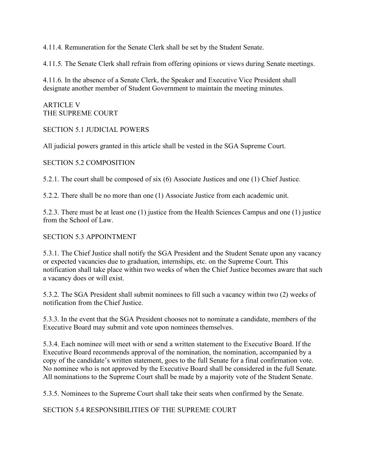4.11.4. Remuneration for the Senate Clerk shall be set by the Student Senate.

4.11.5. The Senate Clerk shall refrain from offering opinions or views during Senate meetings.

4.11.6. In the absence of a Senate Clerk, the Speaker and Executive Vice President shall designate another member of Student Government to maintain the meeting minutes.

ARTICLE V THE SUPREME COURT

SECTION 5.1 JUDICIAL POWERS

All judicial powers granted in this article shall be vested in the SGA Supreme Court.

SECTION 5.2 COMPOSITION

5.2.1. The court shall be composed of six (6) Associate Justices and one (1) Chief Justice.

5.2.2. There shall be no more than one (1) Associate Justice from each academic unit.

5.2.3. There must be at least one (1) justice from the Health Sciences Campus and one (1) justice from the School of Law.

## SECTION 5.3 APPOINTMENT

5.3.1. The Chief Justice shall notify the SGA President and the Student Senate upon any vacancy or expected vacancies due to graduation, internships, etc. on the Supreme Court. This notification shall take place within two weeks of when the Chief Justice becomes aware that such a vacancy does or will exist.

5.3.2. The SGA President shall submit nominees to fill such a vacancy within two (2) weeks of notification from the Chief Justice.

5.3.3. In the event that the SGA President chooses not to nominate a candidate, members of the Executive Board may submit and vote upon nominees themselves.

5.3.4. Each nominee will meet with or send a written statement to the Executive Board. If the Executive Board recommends approval of the nomination, the nomination, accompanied by a copy of the candidate's written statement, goes to the full Senate for a final confirmation vote. No nominee who is not approved by the Executive Board shall be considered in the full Senate. All nominations to the Supreme Court shall be made by a majority vote of the Student Senate.

5.3.5. Nominees to the Supreme Court shall take their seats when confirmed by the Senate.

SECTION 5.4 RESPONSIBILITIES OF THE SUPREME COURT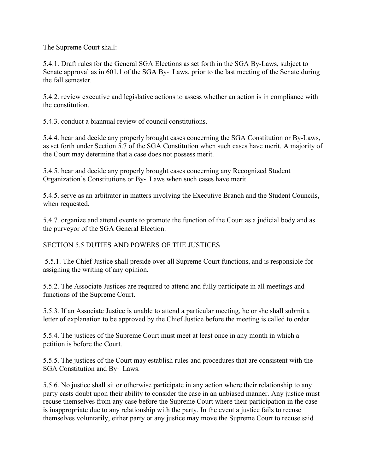The Supreme Court shall:

5.4.1. Draft rules for the General SGA Elections as set forth in the SGA By-Laws, subject to Senate approval as in 601.1 of the SGA By- Laws, prior to the last meeting of the Senate during the fall semester.

5.4.2. review executive and legislative actions to assess whether an action is in compliance with the constitution.

5.4.3. conduct a biannual review of council constitutions.

5.4.4. hear and decide any properly brought cases concerning the SGA Constitution or By-Laws, as set forth under Section 5.7 of the SGA Constitution when such cases have merit. A majority of the Court may determine that a case does not possess merit.

5.4.5. hear and decide any properly brought cases concerning any Recognized Student Organization's Constitutions or By- Laws when such cases have merit.

5.4.5. serve as an arbitrator in matters involving the Executive Branch and the Student Councils, when requested.

5.4.7. organize and attend events to promote the function of the Court as a judicial body and as the purveyor of the SGA General Election.

SECTION 5.5 DUTIES AND POWERS OF THE JUSTICES

5.5.1. The Chief Justice shall preside over all Supreme Court functions, and is responsible for assigning the writing of any opinion.

5.5.2. The Associate Justices are required to attend and fully participate in all meetings and functions of the Supreme Court.

5.5.3. If an Associate Justice is unable to attend a particular meeting, he or she shall submit a letter of explanation to be approved by the Chief Justice before the meeting is called to order.

5.5.4. The justices of the Supreme Court must meet at least once in any month in which a petition is before the Court.

5.5.5. The justices of the Court may establish rules and procedures that are consistent with the SGA Constitution and By- Laws.

5.5.6. No justice shall sit or otherwise participate in any action where their relationship to any party casts doubt upon their ability to consider the case in an unbiased manner. Any justice must recuse themselves from any case before the Supreme Court where their participation in the case is inappropriate due to any relationship with the party. In the event a justice fails to recuse themselves voluntarily, either party or any justice may move the Supreme Court to recuse said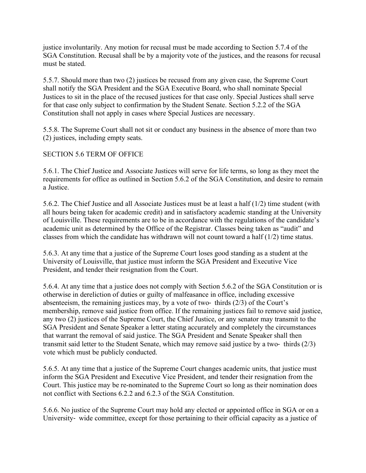justice involuntarily. Any motion for recusal must be made according to Section 5.7.4 of the SGA Constitution. Recusal shall be by a majority vote of the justices, and the reasons for recusal must be stated.

5.5.7. Should more than two (2) justices be recused from any given case, the Supreme Court shall notify the SGA President and the SGA Executive Board, who shall nominate Special Justices to sit in the place of the recused justices for that case only. Special Justices shall serve for that case only subject to confirmation by the Student Senate. Section 5.2.2 of the SGA Constitution shall not apply in cases where Special Justices are necessary.

5.5.8. The Supreme Court shall not sit or conduct any business in the absence of more than two (2) justices, including empty seats.

## SECTION 5.6 TERM OF OFFICE

5.6.1. The Chief Justice and Associate Justices will serve for life terms, so long as they meet the requirements for office as outlined in Section 5.6.2 of the SGA Constitution, and desire to remain a Justice.

5.6.2. The Chief Justice and all Associate Justices must be at least a half (1/2) time student (with all hours being taken for academic credit) and in satisfactory academic standing at the University of Louisville. These requirements are to be in accordance with the regulations of the candidate's academic unit as determined by the Office of the Registrar. Classes being taken as "audit" and classes from which the candidate has withdrawn will not count toward a half (1/2) time status.

5.6.3. At any time that a justice of the Supreme Court loses good standing as a student at the University of Louisville, that justice must inform the SGA President and Executive Vice President, and tender their resignation from the Court.

5.6.4. At any time that a justice does not comply with Section 5.6.2 of the SGA Constitution or is otherwise in dereliction of duties or guilty of malfeasance in office, including excessive absenteeism, the remaining justices may, by a vote of two- thirds (2/3) of the Court's membership, remove said justice from office. If the remaining justices fail to remove said justice, any two (2) justices of the Supreme Court, the Chief Justice, or any senator may transmit to the SGA President and Senate Speaker a letter stating accurately and completely the circumstances that warrant the removal of said justice. The SGA President and Senate Speaker shall then transmit said letter to the Student Senate, which may remove said justice by a two- thirds (2/3) vote which must be publicly conducted.

5.6.5. At any time that a justice of the Supreme Court changes academic units, that justice must inform the SGA President and Executive Vice President, and tender their resignation from the Court. This justice may be re-nominated to the Supreme Court so long as their nomination does not conflict with Sections 6.2.2 and 6.2.3 of the SGA Constitution.

5.6.6. No justice of the Supreme Court may hold any elected or appointed office in SGA or on a University- wide committee, except for those pertaining to their official capacity as a justice of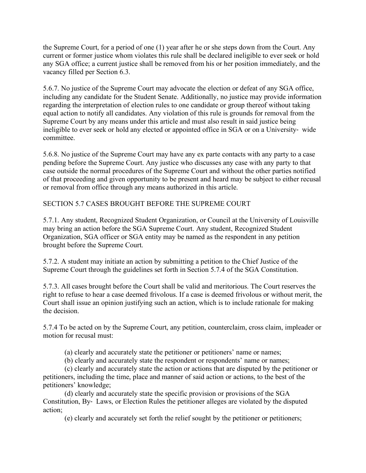the Supreme Court, for a period of one (1) year after he or she steps down from the Court. Any current or former justice whom violates this rule shall be declared ineligible to ever seek or hold any SGA office; a current justice shall be removed from his or her position immediately, and the vacancy filled per Section 6.3.

5.6.7. No justice of the Supreme Court may advocate the election or defeat of any SGA office, including any candidate for the Student Senate. Additionally, no justice may provide information regarding the interpretation of election rules to one candidate or group thereof without taking equal action to notify all candidates. Any violation of this rule is grounds for removal from the Supreme Court by any means under this article and must also result in said justice being ineligible to ever seek or hold any elected or appointed office in SGA or on a University- wide committee.

5.6.8. No justice of the Supreme Court may have any ex parte contacts with any party to a case pending before the Supreme Court. Any justice who discusses any case with any party to that case outside the normal procedures of the Supreme Court and without the other parties notified of that proceeding and given opportunity to be present and heard may be subject to either recusal or removal from office through any means authorized in this article.

## SECTION 5.7 CASES BROUGHT BEFORE THE SUPREME COURT

5.7.1. Any student, Recognized Student Organization, or Council at the University of Louisville may bring an action before the SGA Supreme Court. Any student, Recognized Student Organization, SGA officer or SGA entity may be named as the respondent in any petition brought before the Supreme Court.

5.7.2. A student may initiate an action by submitting a petition to the Chief Justice of the Supreme Court through the guidelines set forth in Section 5.7.4 of the SGA Constitution.

5.7.3. All cases brought before the Court shall be valid and meritorious. The Court reserves the right to refuse to hear a case deemed frivolous. If a case is deemed frivolous or without merit, the Court shall issue an opinion justifying such an action, which is to include rationale for making the decision.

5.7.4 To be acted on by the Supreme Court, any petition, counterclaim, cross claim, impleader or motion for recusal must:

- (a) clearly and accurately state the petitioner or petitioners' name or names;
- (b) clearly and accurately state the respondent or respondents' name or names;

(c) clearly and accurately state the action or actions that are disputed by the petitioner or petitioners, including the time, place and manner of said action or actions, to the best of the petitioners' knowledge;

(d) clearly and accurately state the specific provision or provisions of the SGA Constitution, By- Laws, or Election Rules the petitioner alleges are violated by the disputed action;

(e) clearly and accurately set forth the relief sought by the petitioner or petitioners;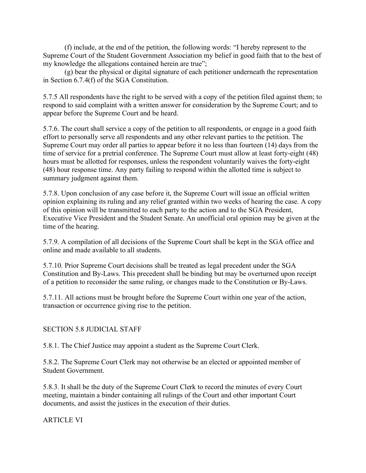(f) include, at the end of the petition, the following words: "I hereby represent to the Supreme Court of the Student Government Association my belief in good faith that to the best of my knowledge the allegations contained herein are true";

(g) bear the physical or digital signature of each petitioner underneath the representation in Section 6.7.4(f) of the SGA Constitution.

5.7.5 All respondents have the right to be served with a copy of the petition filed against them; to respond to said complaint with a written answer for consideration by the Supreme Court; and to appear before the Supreme Court and be heard.

5.7.6. The court shall service a copy of the petition to all respondents, or engage in a good faith effort to personally serve all respondents and any other relevant parties to the petition. The Supreme Court may order all parties to appear before it no less than fourteen (14) days from the time of service for a pretrial conference. The Supreme Court must allow at least forty-eight (48) hours must be allotted for responses, unless the respondent voluntarily waives the forty-eight (48) hour response time. Any party failing to respond within the allotted time is subject to summary judgment against them.

5.7.8. Upon conclusion of any case before it, the Supreme Court will issue an official written opinion explaining its ruling and any relief granted within two weeks of hearing the case. A copy of this opinion will be transmitted to each party to the action and to the SGA President, Executive Vice President and the Student Senate. An unofficial oral opinion may be given at the time of the hearing.

5.7.9. A compilation of all decisions of the Supreme Court shall be kept in the SGA office and online and made available to all students.

5.7.10. Prior Supreme Court decisions shall be treated as legal precedent under the SGA Constitution and By-Laws. This precedent shall be binding but may be overturned upon receipt of a petition to reconsider the same ruling, or changes made to the Constitution or By-Laws.

5.7.11. All actions must be brought before the Supreme Court within one year of the action, transaction or occurrence giving rise to the petition.

# SECTION 5.8 JUDICIAL STAFF

5.8.1. The Chief Justice may appoint a student as the Supreme Court Clerk.

5.8.2. The Supreme Court Clerk may not otherwise be an elected or appointed member of Student Government.

5.8.3. It shall be the duty of the Supreme Court Clerk to record the minutes of every Court meeting, maintain a binder containing all rulings of the Court and other important Court documents, and assist the justices in the execution of their duties.

ARTICLE VI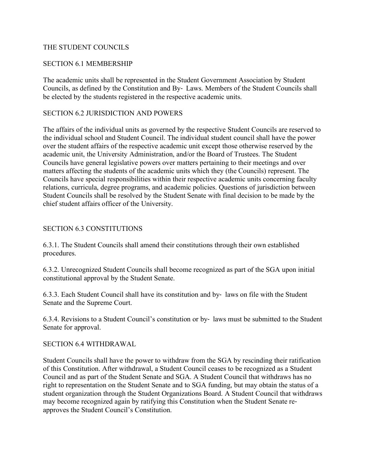#### THE STUDENT COUNCILS

#### SECTION 6.1 MEMBERSHIP

The academic units shall be represented in the Student Government Association by Student Councils, as defined by the Constitution and By- Laws. Members of the Student Councils shall be elected by the students registered in the respective academic units.

#### SECTION 6.2 JURISDICTION AND POWERS

The affairs of the individual units as governed by the respective Student Councils are reserved to the individual school and Student Council. The individual student council shall have the power over the student affairs of the respective academic unit except those otherwise reserved by the academic unit, the University Administration, and/or the Board of Trustees. The Student Councils have general legislative powers over matters pertaining to their meetings and over matters affecting the students of the academic units which they (the Councils) represent. The Councils have special responsibilities within their respective academic units concerning faculty relations, curricula, degree programs, and academic policies. Questions of jurisdiction between Student Councils shall be resolved by the Student Senate with final decision to be made by the chief student affairs officer of the University.

#### SECTION 6.3 CONSTITUTIONS

6.3.1. The Student Councils shall amend their constitutions through their own established procedures.

6.3.2. Unrecognized Student Councils shall become recognized as part of the SGA upon initial constitutional approval by the Student Senate.

6.3.3. Each Student Council shall have its constitution and by- laws on file with the Student Senate and the Supreme Court.

6.3.4. Revisions to a Student Council's constitution or by- laws must be submitted to the Student Senate for approval.

SECTION 6.4 WITHDRAWAL

Student Councils shall have the power to withdraw from the SGA by rescinding their ratification of this Constitution. After withdrawal, a Student Council ceases to be recognized as a Student Council and as part of the Student Senate and SGA. A Student Council that withdraws has no right to representation on the Student Senate and to SGA funding, but may obtain the status of a student organization through the Student Organizations Board. A Student Council that withdraws may become recognized again by ratifying this Constitution when the Student Senate reapproves the Student Council's Constitution.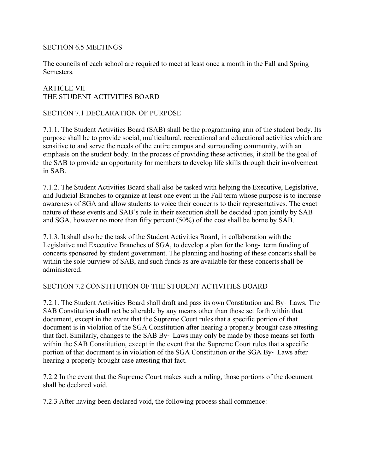#### SECTION 6.5 MEETINGS

The councils of each school are required to meet at least once a month in the Fall and Spring Semesters.

## ARTICLE VII THE STUDENT ACTIVITIES BOARD

#### SECTION 7.1 DECLARATION OF PURPOSE

7.1.1. The Student Activities Board (SAB) shall be the programming arm of the student body. Its purpose shall be to provide social, multicultural, recreational and educational activities which are sensitive to and serve the needs of the entire campus and surrounding community, with an emphasis on the student body. In the process of providing these activities, it shall be the goal of the SAB to provide an opportunity for members to develop life skills through their involvement in SAB.

7.1.2. The Student Activities Board shall also be tasked with helping the Executive, Legislative, and Judicial Branches to organize at least one event in the Fall term whose purpose is to increase awareness of SGA and allow students to voice their concerns to their representatives. The exact nature of these events and SAB's role in their execution shall be decided upon jointly by SAB and SGA, however no more than fifty percent (50%) of the cost shall be borne by SAB.

7.1.3. It shall also be the task of the Student Activities Board, in collaboration with the Legislative and Executive Branches of SGA, to develop a plan for the long- term funding of concerts sponsored by student government. The planning and hosting of these concerts shall be within the sole purview of SAB, and such funds as are available for these concerts shall be administered.

## SECTION 7.2 CONSTITUTION OF THE STUDENT ACTIVITIES BOARD

7.2.1. The Student Activities Board shall draft and pass its own Constitution and By- Laws. The SAB Constitution shall not be alterable by any means other than those set forth within that document, except in the event that the Supreme Court rules that a specific portion of that document is in violation of the SGA Constitution after hearing a properly brought case attesting that fact. Similarly, changes to the SAB By- Laws may only be made by those means set forth within the SAB Constitution, except in the event that the Supreme Court rules that a specific portion of that document is in violation of the SGA Constitution or the SGA By- Laws after hearing a properly brought case attesting that fact.

7.2.2 In the event that the Supreme Court makes such a ruling, those portions of the document shall be declared void.

7.2.3 After having been declared void, the following process shall commence: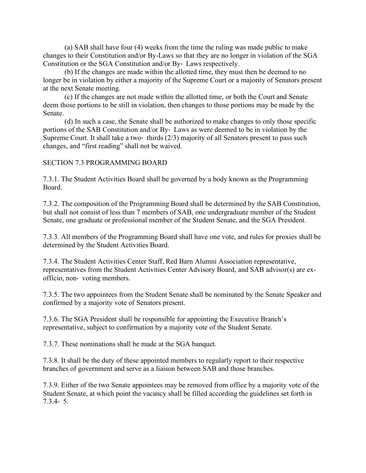(a) SAB shall have four (4) weeks from the time the ruling was made public to make changes to their Constitution and/or By-Laws so that they are no longer in violation of the SGA Constitution or the SGA Constitution and/or By- Laws respectively.

(b) If the changes are made within the allotted time, they must then be deemed to no longer be in violation by either a majority of the Supreme Court or a majority of Senators present at the next Senate meeting.

(c) If the changes are not made within the allotted time, or both the Court and Senate deem those portions to be still in violation, then changes to those portions may be made by the Senate.

(d) In such a case, the Senate shall be authorized to make changes to only those specific portions of the SAB Constitution and/or By- Laws as were deemed to be in violation by the Supreme Court. It shall take a two- thirds (2/3) majority of all Senators present to pass such changes, and "first reading" shall not be waived.

#### SECTION 7.3 PROGRAMMING BOARD

7.3.1. The Student Activities Board shall be governed by a body known as the Programming Board.

7.3.2. The composition of the Programming Board shall be determined by the SAB Constitution, but shall not consist of less than 7 members of SAB, one undergraduate member of the Student Senate, one graduate or professional member of the Student Senate, and the SGA President.

7.3.3. All members of the Programming Board shall have one vote, and rules for proxies shall be determined by the Student Activities Board.

7.3.4. The Student Activities Center Staff, Red Barn Alumni Association representative, representatives from the Student Activities Center Advisory Board, and SAB advisor(s) are exofficio, non- voting members.

7.3.5. The two appointees from the Student Senate shall be nominated by the Senate Speaker and confirmed by a majority vote of Senators present.

7.3.6. The SGA President shall be responsible for appointing the Executive Branch's representative, subject to confirmation by a majority vote of the Student Senate.

7.3.7. These nominations shall be made at the SGA banquet.

7.3.8. It shall be the duty of these appointed members to regularly report to their respective branches of government and serve as a liaison between SAB and those branches.

7.3.9. Either of the two Senate appointees may be removed from office by a majority vote of the Student Senate, at which point the vacancy shall be filled according the guidelines set forth in 7.3.4- 5.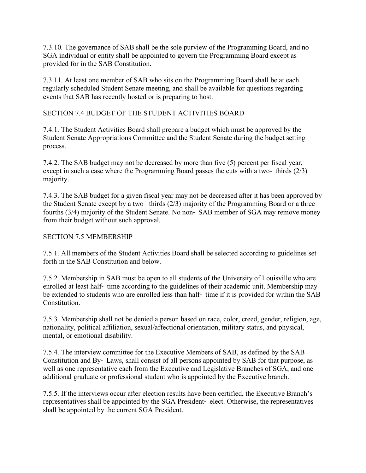7.3.10. The governance of SAB shall be the sole purview of the Programming Board, and no SGA individual or entity shall be appointed to govern the Programming Board except as provided for in the SAB Constitution.

7.3.11. At least one member of SAB who sits on the Programming Board shall be at each regularly scheduled Student Senate meeting, and shall be available for questions regarding events that SAB has recently hosted or is preparing to host.

SECTION 7.4 BUDGET OF THE STUDENT ACTIVITIES BOARD

7.4.1. The Student Activities Board shall prepare a budget which must be approved by the Student Senate Appropriations Committee and the Student Senate during the budget setting process.

7.4.2. The SAB budget may not be decreased by more than five (5) percent per fiscal year, except in such a case where the Programming Board passes the cuts with a two- thirds (2/3) majority.

7.4.3. The SAB budget for a given fiscal year may not be decreased after it has been approved by the Student Senate except by a two- thirds (2/3) majority of the Programming Board or a threefourths (3/4) majority of the Student Senate. No non- SAB member of SGA may remove money from their budget without such approval.

## SECTION 7.5 MEMBERSHIP

7.5.1. All members of the Student Activities Board shall be selected according to guidelines set forth in the SAB Constitution and below.

7.5.2. Membership in SAB must be open to all students of the University of Louisville who are enrolled at least half- time according to the guidelines of their academic unit. Membership may be extended to students who are enrolled less than half- time if it is provided for within the SAB Constitution.

7.5.3. Membership shall not be denied a person based on race, color, creed, gender, religion, age, nationality, political affiliation, sexual/affectional orientation, military status, and physical, mental, or emotional disability.

7.5.4. The interview committee for the Executive Members of SAB, as defined by the SAB Constitution and By- Laws, shall consist of all persons appointed by SAB for that purpose, as well as one representative each from the Executive and Legislative Branches of SGA, and one additional graduate or professional student who is appointed by the Executive branch.

7.5.5. If the interviews occur after election results have been certified, the Executive Branch's representatives shall be appointed by the SGA President- elect. Otherwise, the representatives shall be appointed by the current SGA President.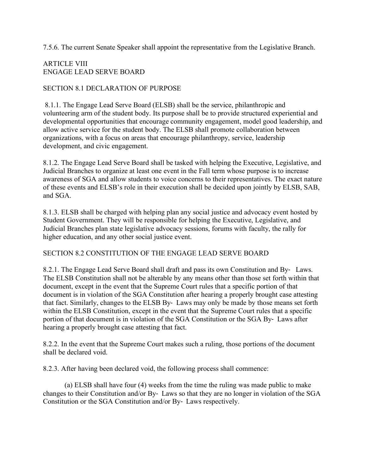7.5.6. The current Senate Speaker shall appoint the representative from the Legislative Branch.

# ARTICLE VIII ENGAGE LEAD SERVE BOARD

## SECTION 8.1 DECLARATION OF PURPOSE

8.1.1. The Engage Lead Serve Board (ELSB) shall be the service, philanthropic and volunteering arm of the student body. Its purpose shall be to provide structured experiential and developmental opportunities that encourage community engagement, model good leadership, and allow active service for the student body. The ELSB shall promote collaboration between organizations, with a focus on areas that encourage philanthropy, service, leadership development, and civic engagement.

8.1.2. The Engage Lead Serve Board shall be tasked with helping the Executive, Legislative, and Judicial Branches to organize at least one event in the Fall term whose purpose is to increase awareness of SGA and allow students to voice concerns to their representatives. The exact nature of these events and ELSB's role in their execution shall be decided upon jointly by ELSB, SAB, and SGA.

8.1.3. ELSB shall be charged with helping plan any social justice and advocacy event hosted by Student Government. They will be responsible for helping the Executive, Legislative, and Judicial Branches plan state legislative advocacy sessions, forums with faculty, the rally for higher education, and any other social justice event.

## SECTION 8.2 CONSTITUTION OF THE ENGAGE LEAD SERVE BOARD

8.2.1. The Engage Lead Serve Board shall draft and pass its own Constitution and By- Laws. The ELSB Constitution shall not be alterable by any means other than those set forth within that document, except in the event that the Supreme Court rules that a specific portion of that document is in violation of the SGA Constitution after hearing a properly brought case attesting that fact. Similarly, changes to the ELSB By- Laws may only be made by those means set forth within the ELSB Constitution, except in the event that the Supreme Court rules that a specific portion of that document is in violation of the SGA Constitution or the SGA By- Laws after hearing a properly brought case attesting that fact.

8.2.2. In the event that the Supreme Court makes such a ruling, those portions of the document shall be declared void.

8.2.3. After having been declared void, the following process shall commence:

(a) ELSB shall have four (4) weeks from the time the ruling was made public to make changes to their Constitution and/or By- Laws so that they are no longer in violation of the SGA Constitution or the SGA Constitution and/or By- Laws respectively.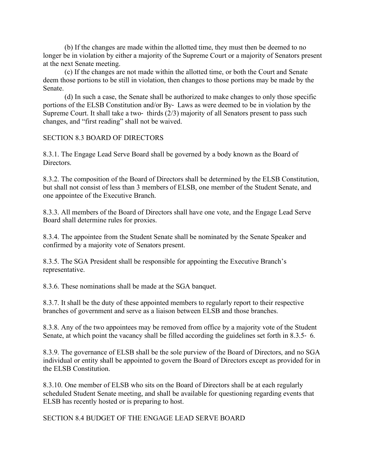(b) If the changes are made within the allotted time, they must then be deemed to no longer be in violation by either a majority of the Supreme Court or a majority of Senators present at the next Senate meeting.

(c) If the changes are not made within the allotted time, or both the Court and Senate deem those portions to be still in violation, then changes to those portions may be made by the Senate.

(d) In such a case, the Senate shall be authorized to make changes to only those specific portions of the ELSB Constitution and/or By- Laws as were deemed to be in violation by the Supreme Court. It shall take a two- thirds (2/3) majority of all Senators present to pass such changes, and "first reading" shall not be waived.

SECTION 8.3 BOARD OF DIRECTORS

8.3.1. The Engage Lead Serve Board shall be governed by a body known as the Board of **Directors** 

8.3.2. The composition of the Board of Directors shall be determined by the ELSB Constitution, but shall not consist of less than 3 members of ELSB, one member of the Student Senate, and one appointee of the Executive Branch.

8.3.3. All members of the Board of Directors shall have one vote, and the Engage Lead Serve Board shall determine rules for proxies.

8.3.4. The appointee from the Student Senate shall be nominated by the Senate Speaker and confirmed by a majority vote of Senators present.

8.3.5. The SGA President shall be responsible for appointing the Executive Branch's representative.

8.3.6. These nominations shall be made at the SGA banquet.

8.3.7. It shall be the duty of these appointed members to regularly report to their respective branches of government and serve as a liaison between ELSB and those branches.

8.3.8. Any of the two appointees may be removed from office by a majority vote of the Student Senate, at which point the vacancy shall be filled according the guidelines set forth in 8.3.5- 6.

8.3.9. The governance of ELSB shall be the sole purview of the Board of Directors, and no SGA individual or entity shall be appointed to govern the Board of Directors except as provided for in the ELSB Constitution.

8.3.10. One member of ELSB who sits on the Board of Directors shall be at each regularly scheduled Student Senate meeting, and shall be available for questioning regarding events that ELSB has recently hosted or is preparing to host.

SECTION 8.4 BUDGET OF THE ENGAGE LEAD SERVE BOARD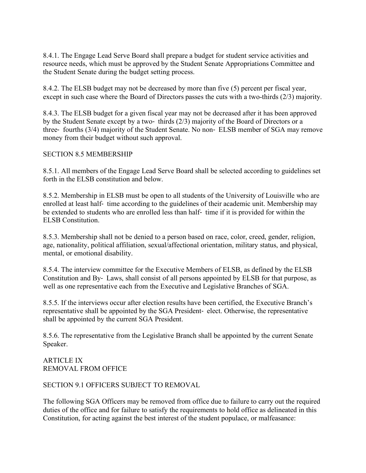8.4.1. The Engage Lead Serve Board shall prepare a budget for student service activities and resource needs, which must be approved by the Student Senate Appropriations Committee and the Student Senate during the budget setting process.

8.4.2. The ELSB budget may not be decreased by more than five (5) percent per fiscal year, except in such case where the Board of Directors passes the cuts with a two-thirds (2/3) majority.

8.4.3. The ELSB budget for a given fiscal year may not be decreased after it has been approved by the Student Senate except by a two- thirds (2/3) majority of the Board of Directors or a three- fourths (3/4) majority of the Student Senate. No non- ELSB member of SGA may remove money from their budget without such approval.

## SECTION 8.5 MEMBERSHIP

8.5.1. All members of the Engage Lead Serve Board shall be selected according to guidelines set forth in the ELSB constitution and below.

8.5.2. Membership in ELSB must be open to all students of the University of Louisville who are enrolled at least half- time according to the guidelines of their academic unit. Membership may be extended to students who are enrolled less than half- time if it is provided for within the ELSB Constitution.

8.5.3. Membership shall not be denied to a person based on race, color, creed, gender, religion, age, nationality, political affiliation, sexual/affectional orientation, military status, and physical, mental, or emotional disability.

8.5.4. The interview committee for the Executive Members of ELSB, as defined by the ELSB Constitution and By- Laws, shall consist of all persons appointed by ELSB for that purpose, as well as one representative each from the Executive and Legislative Branches of SGA.

8.5.5. If the interviews occur after election results have been certified, the Executive Branch's representative shall be appointed by the SGA President- elect. Otherwise, the representative shall be appointed by the current SGA President.

8.5.6. The representative from the Legislative Branch shall be appointed by the current Senate Speaker.

ARTICLE IX REMOVAL FROM OFFICE

## SECTION 9.1 OFFICERS SUBJECT TO REMOVAL

The following SGA Officers may be removed from office due to failure to carry out the required duties of the office and for failure to satisfy the requirements to hold office as delineated in this Constitution, for acting against the best interest of the student populace, or malfeasance: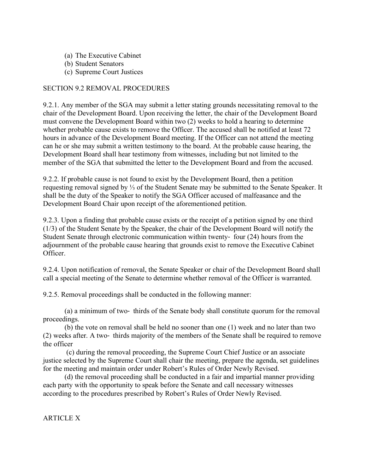- (a) The Executive Cabinet
- (b) Student Senators
- (c) Supreme Court Justices

#### SECTION 9.2 REMOVAL PROCEDURES

9.2.1. Any member of the SGA may submit a letter stating grounds necessitating removal to the chair of the Development Board. Upon receiving the letter, the chair of the Development Board must convene the Development Board within two (2) weeks to hold a hearing to determine whether probable cause exists to remove the Officer. The accused shall be notified at least 72 hours in advance of the Development Board meeting. If the Officer can not attend the meeting can he or she may submit a written testimony to the board. At the probable cause hearing, the Development Board shall hear testimony from witnesses, including but not limited to the member of the SGA that submitted the letter to the Development Board and from the accused.

9.2.2. If probable cause is not found to exist by the Development Board, then a petition requesting removal signed by ⅓ of the Student Senate may be submitted to the Senate Speaker. It shall be the duty of the Speaker to notify the SGA Officer accused of malfeasance and the Development Board Chair upon receipt of the aforementioned petition.

9.2.3. Upon a finding that probable cause exists or the receipt of a petition signed by one third (1/3) of the Student Senate by the Speaker, the chair of the Development Board will notify the Student Senate through electronic communication within twenty- four (24) hours from the adjournment of the probable cause hearing that grounds exist to remove the Executive Cabinet Officer.

9.2.4. Upon notification of removal, the Senate Speaker or chair of the Development Board shall call a special meeting of the Senate to determine whether removal of the Officer is warranted.

9.2.5. Removal proceedings shall be conducted in the following manner:

(a) a minimum of two- thirds of the Senate body shall constitute quorum for the removal proceedings.

(b) the vote on removal shall be held no sooner than one (1) week and no later than two (2) weeks after. A two- thirds majority of the members of the Senate shall be required to remove the officer

(c) during the removal proceeding, the Supreme Court Chief Justice or an associate justice selected by the Supreme Court shall chair the meeting, prepare the agenda, set guidelines for the meeting and maintain order under Robert's Rules of Order Newly Revised.

(d) the removal proceeding shall be conducted in a fair and impartial manner providing each party with the opportunity to speak before the Senate and call necessary witnesses according to the procedures prescribed by Robert's Rules of Order Newly Revised.

ARTICLE X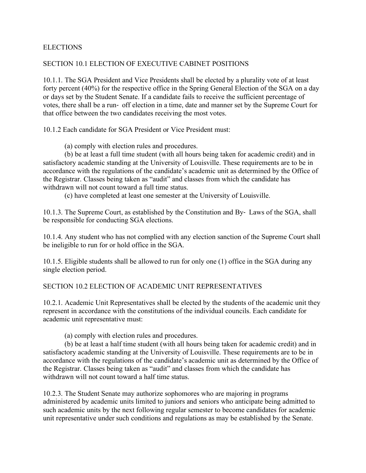#### ELECTIONS

#### SECTION 10.1 ELECTION OF EXECUTIVE CABINET POSITIONS

10.1.1. The SGA President and Vice Presidents shall be elected by a plurality vote of at least forty percent (40%) for the respective office in the Spring General Election of the SGA on a day or days set by the Student Senate. If a candidate fails to receive the sufficient percentage of votes, there shall be a run- off election in a time, date and manner set by the Supreme Court for that office between the two candidates receiving the most votes.

10.1.2 Each candidate for SGA President or Vice President must:

(a) comply with election rules and procedures.

(b) be at least a full time student (with all hours being taken for academic credit) and in satisfactory academic standing at the University of Louisville. These requirements are to be in accordance with the regulations of the candidate's academic unit as determined by the Office of the Registrar. Classes being taken as "audit" and classes from which the candidate has withdrawn will not count toward a full time status.

(c) have completed at least one semester at the University of Louisville.

10.1.3. The Supreme Court, as established by the Constitution and By- Laws of the SGA, shall be responsible for conducting SGA elections.

10.1.4. Any student who has not complied with any election sanction of the Supreme Court shall be ineligible to run for or hold office in the SGA.

10.1.5. Eligible students shall be allowed to run for only one (1) office in the SGA during any single election period.

#### SECTION 10.2 ELECTION OF ACADEMIC UNIT REPRESENTATIVES

10.2.1. Academic Unit Representatives shall be elected by the students of the academic unit they represent in accordance with the constitutions of the individual councils. Each candidate for academic unit representative must:

(a) comply with election rules and procedures.

(b) be at least a half time student (with all hours being taken for academic credit) and in satisfactory academic standing at the University of Louisville. These requirements are to be in accordance with the regulations of the candidate's academic unit as determined by the Office of the Registrar. Classes being taken as "audit" and classes from which the candidate has withdrawn will not count toward a half time status.

10.2.3. The Student Senate may authorize sophomores who are majoring in programs administered by academic units limited to juniors and seniors who anticipate being admitted to such academic units by the next following regular semester to become candidates for academic unit representative under such conditions and regulations as may be established by the Senate.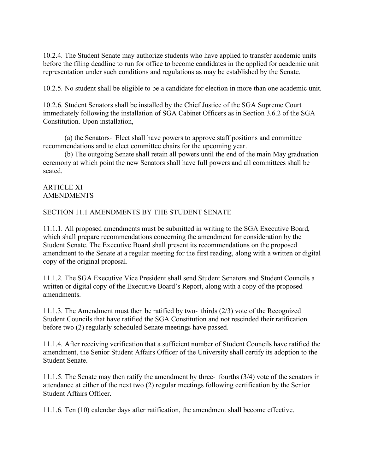10.2.4. The Student Senate may authorize students who have applied to transfer academic units before the filing deadline to run for office to become candidates in the applied for academic unit representation under such conditions and regulations as may be established by the Senate.

10.2.5. No student shall be eligible to be a candidate for election in more than one academic unit.

10.2.6. Student Senators shall be installed by the Chief Justice of the SGA Supreme Court immediately following the installation of SGA Cabinet Officers as in Section 3.6.2 of the SGA Constitution. Upon installation,

(a) the Senators- Elect shall have powers to approve staff positions and committee recommendations and to elect committee chairs for the upcoming year.

(b) The outgoing Senate shall retain all powers until the end of the main May graduation ceremony at which point the new Senators shall have full powers and all committees shall be seated.

ARTICLE XI AMENDMENTS

#### SECTION 11.1 AMENDMENTS BY THE STUDENT SENATE

11.1.1. All proposed amendments must be submitted in writing to the SGA Executive Board, which shall prepare recommendations concerning the amendment for consideration by the Student Senate. The Executive Board shall present its recommendations on the proposed amendment to the Senate at a regular meeting for the first reading, along with a written or digital copy of the original proposal.

11.1.2. The SGA Executive Vice President shall send Student Senators and Student Councils a written or digital copy of the Executive Board's Report, along with a copy of the proposed amendments.

11.1.3. The Amendment must then be ratified by two- thirds (2/3) vote of the Recognized Student Councils that have ratified the SGA Constitution and not rescinded their ratification before two (2) regularly scheduled Senate meetings have passed.

11.1.4. After receiving verification that a sufficient number of Student Councils have ratified the amendment, the Senior Student Affairs Officer of the University shall certify its adoption to the Student Senate.

11.1.5. The Senate may then ratify the amendment by three- fourths (3/4) vote of the senators in attendance at either of the next two (2) regular meetings following certification by the Senior Student Affairs Officer.

11.1.6. Ten (10) calendar days after ratification, the amendment shall become effective.